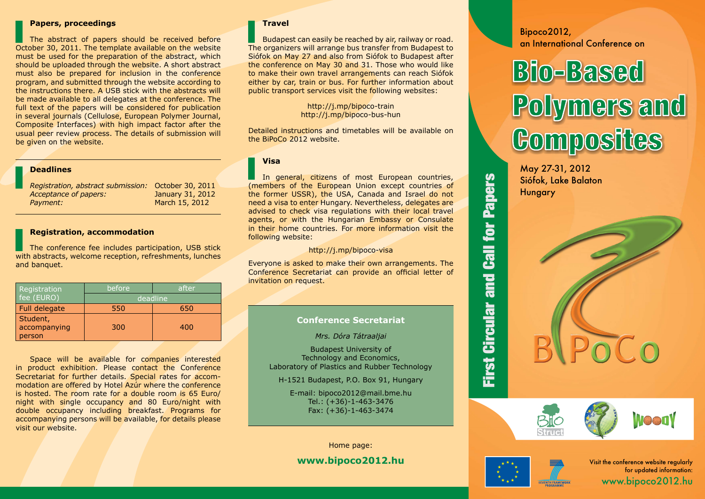## **Papers, proceedings**

The abstract of papers should be received before October 30, 2011. The template available on the website must be used for the preparation of the abstract, which should be uploaded through the website. A short abstract must also be prepared for inclusion in the conference program, and submitted through the website according to the instructions there. A USB stick with the abstracts will be made available to all delegates at the conference. The full text of the papers will be considered for publication in several journals (Cellulose, European Polymer Journal, Composite Interfaces) with high impact factor after the usual peer review process. The details of submission will be given on the website.

## **Deadlines**

*Registration, abstract submission:* October 30, 2011 *Acceptance of papers:* January 31, 2012 *Payment:* March 15, 2012

## **Registration, accommodation**

The conference fee includes participation, USB stick with abstracts, welcome reception, refreshments, lunches and banquet.

| Registration  | before   | after |
|---------------|----------|-------|
| fee (EURO)    | deadline |       |
| Full delegate | 550      | 650   |
| Student,      |          |       |
| accompanying  | 300      | 400   |
| person        |          |       |

Space will be available for companies interested in product exhibition. Please contact the Conference Secretariat for further details. Special rates for accommodation are offered by Hotel Azúr where the conference is hosted. The room rate for a double room is 65 Euro/ night with single occupancy and 80 Euro/night with double occupancy including breakfast. Programs for accompanying persons will be available, for details please visit our website.

## **Travel**

Budapest can easily be reached by air, railway or road. The organizers will arrange bus transfer from Budapest to Siófok on May 27 and also from Siófok to Budapest after the conference on May 30 and 31. Those who would like to make their own travel arrangements can reach Siófok either by car, train or bus. For further information about public transport services visit the following websites:

> http://j.mp/bipoco-train http://j.mp/bipoco-bus-hun

Detailed instructions and timetables will be available on the BiPoCo 2012 website.

**Visa**

In general, citizens of most European countries, (members of the European Union except countries of the former USSR), the USA, Canada and Israel do not need a visa to enter Hungary. Nevertheless, delegates are advised to check visa regulations with their local travel agents, or with the Hungarian Embassy or Consulate in their home countries. For more information visit the following website:

## http://j.mp/bipoco-visa

Everyone is asked to make their own arrangements. The Conference Secretariat can provide an official letter of invitation on request.

## **Conference Secretariat**

*Mrs. Dóra Tátraaljai*

Budapest University of Technology and Economics, Laboratory of Plastics and Rubber Technology

H-1521 Budapest, P.O. Box 91, Hungary

E-mail: bipoco2012@mail.bme.hu Tel.: (+36)-1-463-3476 Fax: (+36)-1-463-3474

Home page:

# **www.bipoco2012.hu**

# Bipoco2012, an International Conference on

# Bio-Based Polymers and **Composites**





**First Circular and Call for Papers** First Circular and Call for Papers